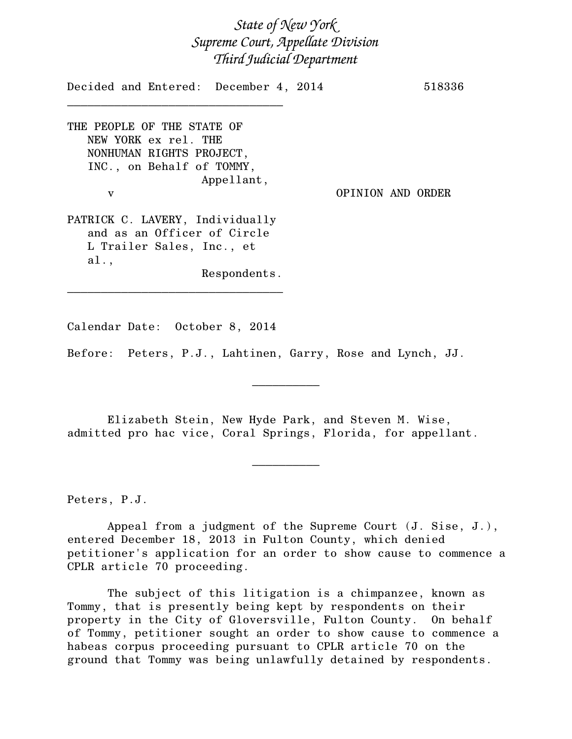*State of New York Supreme Court, Appellate Division Third Judicial Department*

Decided and Entered: December 4, 2014 518336 \_\_\_\_\_\_\_\_\_\_\_\_\_\_\_\_\_\_\_\_\_\_\_\_\_\_\_\_\_\_\_\_ THE PEOPLE OF THE STATE OF NEW YORK ex rel. THE NONHUMAN RIGHTS PROJECT, INC., on Behalf of TOMMY, Appellant, v OPINION AND ORDER PATRICK C. LAVERY, Individually and as an Officer of Circle L Trailer Sales, Inc., et al., Respondents. \_\_\_\_\_\_\_\_\_\_\_\_\_\_\_\_\_\_\_\_\_\_\_\_\_\_\_\_\_\_\_\_

Calendar Date: October 8, 2014

Before: Peters, P.J., Lahtinen, Garry, Rose and Lynch, JJ.

Elizabeth Stein, New Hyde Park, and Steven M. Wise, admitted pro hac vice, Coral Springs, Florida, for appellant.

 $\frac{1}{2}$ 

 $\overline{\phantom{a}}$   $\overline{\phantom{a}}$   $\overline{\phantom{a}}$   $\overline{\phantom{a}}$   $\overline{\phantom{a}}$   $\overline{\phantom{a}}$   $\overline{\phantom{a}}$   $\overline{\phantom{a}}$   $\overline{\phantom{a}}$   $\overline{\phantom{a}}$   $\overline{\phantom{a}}$   $\overline{\phantom{a}}$   $\overline{\phantom{a}}$   $\overline{\phantom{a}}$   $\overline{\phantom{a}}$   $\overline{\phantom{a}}$   $\overline{\phantom{a}}$   $\overline{\phantom{a}}$   $\overline{\$ 

Peters, P.J.

Appeal from a judgment of the Supreme Court (J. Sise, J.), entered December 18, 2013 in Fulton County, which denied petitioner's application for an order to show cause to commence a CPLR article 70 proceeding.

The subject of this litigation is a chimpanzee, known as Tommy, that is presently being kept by respondents on their property in the City of Gloversville, Fulton County. On behalf of Tommy, petitioner sought an order to show cause to commence a habeas corpus proceeding pursuant to CPLR article 70 on the ground that Tommy was being unlawfully detained by respondents.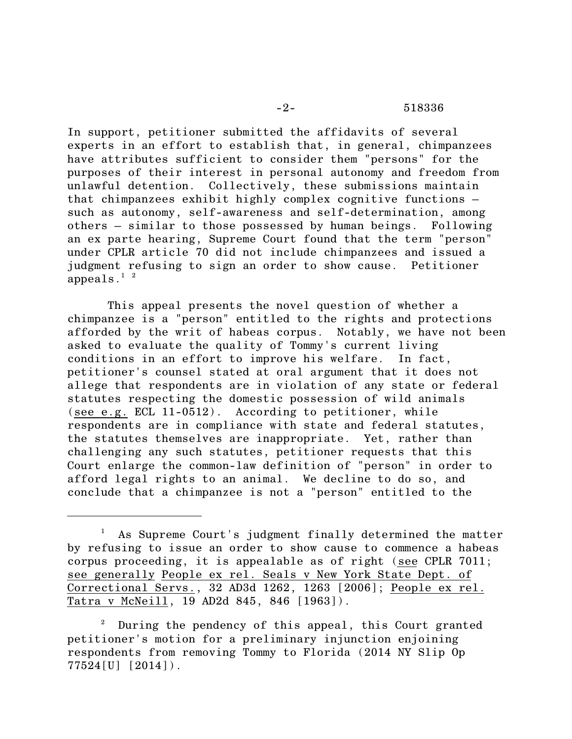## -2- 518336

In support, petitioner submitted the affidavits of several experts in an effort to establish that, in general, chimpanzees have attributes sufficient to consider them "persons" for the purposes of their interest in personal autonomy and freedom from unlawful detention. Collectively, these submissions maintain that chimpanzees exhibit highly complex cognitive functions – such as autonomy, self-awareness and self-determination, among others – similar to those possessed by human beings. Following an ex parte hearing, Supreme Court found that the term "person" under CPLR article 70 did not include chimpanzees and issued a judgment refusing to sign an order to show cause. Petitioner appeals. $1^2$ 

This appeal presents the novel question of whether a chimpanzee is a "person" entitled to the rights and protections afforded by the writ of habeas corpus. Notably, we have not been asked to evaluate the quality of Tommy's current living conditions in an effort to improve his welfare. In fact, petitioner's counsel stated at oral argument that it does not allege that respondents are in violation of any state or federal statutes respecting the domestic possession of wild animals (see e.g. ECL 11-0512). According to petitioner, while respondents are in compliance with state and federal statutes, the statutes themselves are inappropriate. Yet, rather than challenging any such statutes, petitioner requests that this Court enlarge the common-law definition of "person" in order to afford legal rights to an animal. We decline to do so, and conclude that a chimpanzee is not a "person" entitled to the

<sup>1</sup> As Supreme Court's judgment finally determined the matter by refusing to issue an order to show cause to commence a habeas corpus proceeding, it is appealable as of right (see CPLR 7011; see generally People ex rel. Seals v New York State Dept. of Correctional Servs., 32 AD3d 1262, 1263 [2006]; People ex rel. Tatra v McNeill, 19 AD2d 845, 846 [1963]).

During the pendency of this appeal, this Court granted petitioner's motion for a preliminary injunction enjoining respondents from removing Tommy to Florida (2014 NY Slip Op 77524[U] [2014]).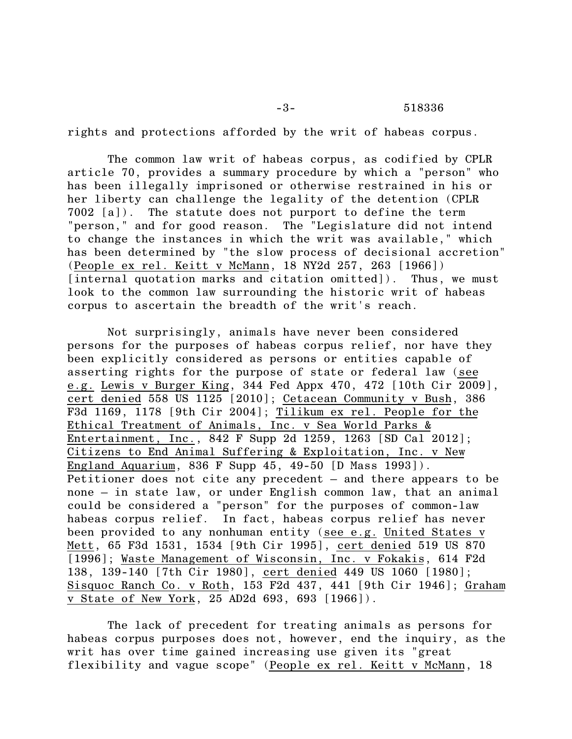## -3- 518336

rights and protections afforded by the writ of habeas corpus.

The common law writ of habeas corpus, as codified by CPLR article 70, provides a summary procedure by which a "person" who has been illegally imprisoned or otherwise restrained in his or her liberty can challenge the legality of the detention (CPLR 7002 [a]). The statute does not purport to define the term "person," and for good reason. The "Legislature did not intend to change the instances in which the writ was available," which has been determined by "the slow process of decisional accretion" (People ex rel. Keitt v McMann, 18 NY2d 257, 263 [1966]) [internal quotation marks and citation omitted]). Thus, we must look to the common law surrounding the historic writ of habeas corpus to ascertain the breadth of the writ's reach.

Not surprisingly, animals have never been considered persons for the purposes of habeas corpus relief, nor have they been explicitly considered as persons or entities capable of asserting rights for the purpose of state or federal law (see e.g. Lewis v Burger King, 344 Fed Appx 470, 472 [10th Cir 2009], cert denied 558 US 1125 [2010]; Cetacean Community v Bush, 386 F3d 1169, 1178 [9th Cir 2004]; Tilikum ex rel. People for the Ethical Treatment of Animals, Inc. v Sea World Parks & Entertainment, Inc., 842 F Supp 2d 1259, 1263 [SD Cal 2012]; Citizens to End Animal Suffering & Exploitation, Inc. v New England Aquarium, 836 F Supp 45, 49-50 [D Mass 1993]). Petitioner does not cite any precedent – and there appears to be none – in state law, or under English common law, that an animal could be considered a "person" for the purposes of common-law habeas corpus relief. In fact, habeas corpus relief has never been provided to any nonhuman entity (see e.g. United States v Mett, 65 F3d 1531, 1534 [9th Cir 1995], cert denied 519 US 870 [1996]; Waste Management of Wisconsin, Inc. v Fokakis, 614 F2d 138, 139-140 [7th Cir 1980], cert denied 449 US 1060 [1980]; Sisquoc Ranch Co. v Roth, 153 F2d 437, 441 [9th Cir 1946]; Graham v State of New York, 25 AD2d 693, 693 [1966]).

The lack of precedent for treating animals as persons for habeas corpus purposes does not, however, end the inquiry, as the writ has over time gained increasing use given its "great flexibility and vague scope" (People ex rel. Keitt v McMann, 18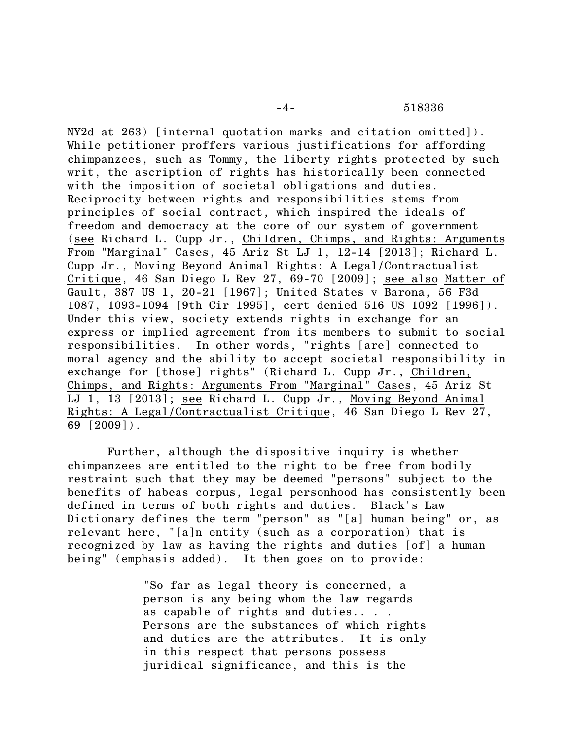## -4- 518336

NY2d at 263) [internal quotation marks and citation omitted]). While petitioner proffers various justifications for affording chimpanzees, such as Tommy, the liberty rights protected by such writ, the ascription of rights has historically been connected with the imposition of societal obligations and duties. Reciprocity between rights and responsibilities stems from principles of social contract, which inspired the ideals of freedom and democracy at the core of our system of government (see Richard L. Cupp Jr., Children, Chimps, and Rights: Arguments From "Marginal" Cases, 45 Ariz St LJ 1, 12-14 [2013]; Richard L. Cupp Jr., Moving Beyond Animal Rights: A Legal/Contractualist Critique, 46 San Diego L Rev 27, 69-70 [2009]; see also Matter of Gault, 387 US 1, 20-21 [1967]; United States v Barona, 56 F3d 1087, 1093-1094 [9th Cir 1995], cert denied 516 US 1092 [1996]). Under this view, society extends rights in exchange for an express or implied agreement from its members to submit to social responsibilities. In other words, "rights [are] connected to moral agency and the ability to accept societal responsibility in exchange for [those] rights" (Richard L. Cupp Jr., Children, Chimps, and Rights: Arguments From "Marginal" Cases, 45 Ariz St LJ 1, 13 [2013]; see Richard L. Cupp Jr., Moving Beyond Animal Rights: A Legal/Contractualist Critique, 46 San Diego L Rev 27, 69 [2009]).

Further, although the dispositive inquiry is whether chimpanzees are entitled to the right to be free from bodily restraint such that they may be deemed "persons" subject to the benefits of habeas corpus, legal personhood has consistently been defined in terms of both rights and duties. Black's Law Dictionary defines the term "person" as "[a] human being" or, as relevant here, "[a]n entity (such as a corporation) that is recognized by law as having the rights and duties [of] a human being" (emphasis added). It then goes on to provide:

> "So far as legal theory is concerned, a person is any being whom the law regards as capable of rights and duties.. . . Persons are the substances of which rights and duties are the attributes. It is only in this respect that persons possess juridical significance, and this is the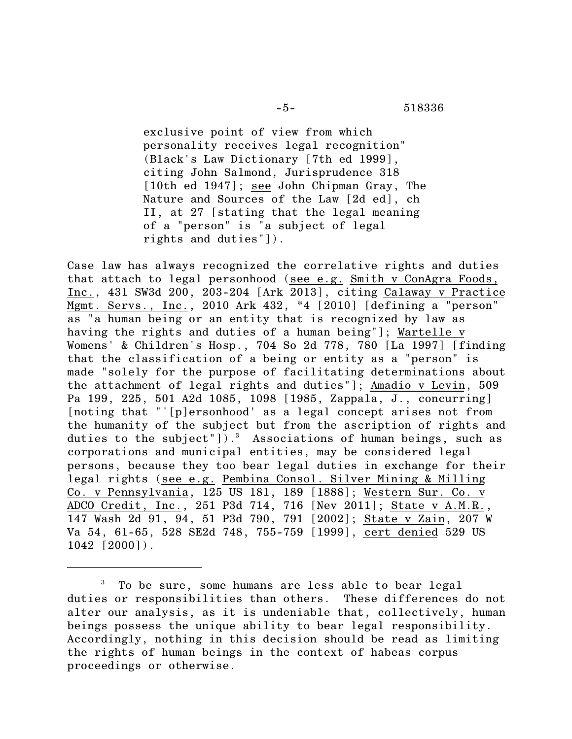exclusive point of view from which personality receives legal recognition" (Black's Law Dictionary [7th ed 1999], citing John Salmond, Jurisprudence 318 [10th ed 1947]; see John Chipman Gray, The Nature and Sources of the Law [2d ed], ch II, at 27 [stating that the legal meaning of a "person" is "a subject of legal rights and duties"]).

Case law has always recognized the correlative rights and duties that attach to legal personhood (see e.g. Smith v ConAgra Foods, Inc., 431 SW3d 200, 203-204 [Ark 2013], citing Calaway v Practice Mgmt. Servs., Inc., 2010 Ark 432, \*4 [2010] [defining a "person" as "a human being or an entity that is recognized by law as having the rights and duties of a human being"]; Wartelle v Womens' & Children's Hosp., 704 So 2d 778, 780 [La 1997] [finding that the classification of a being or entity as a "person" is made "solely for the purpose of facilitating determinations about the attachment of legal rights and duties"]; Amadio v Levin, 509 Pa 199, 225, 501 A2d 1085, 1098 [1985, Zappala, J., concurring] [noting that "'[p]ersonhood' as a legal concept arises not from the humanity of the subject but from the ascription of rights and duties to the subject"]).<sup>3</sup> Associations of human beings, such as corporations and municipal entities, may be considered legal persons, because they too bear legal duties in exchange for their legal rights (see e.g. Pembina Consol. Silver Mining & Milling Co. v Pennsylvania, 125 US 181, 189 [1888]; Western Sur. Co. v ADCO Credit, Inc., 251 P3d 714, 716 [Nev 2011]; State v A.M.R., 147 Wash 2d 91, 94, 51 P3d 790, 791 [2002]; State v Zain, 207 W Va 54, 61-65, 528 SE2d 748, 755-759 [1999], cert denied 529 US 1042 [2000]).

<sup>3</sup> To be sure, some humans are less able to bear legal duties or responsibilities than others. These differences do not alter our analysis, as it is undeniable that, collectively, human beings possess the unique ability to bear legal responsibility. Accordingly, nothing in this decision should be read as limiting the rights of human beings in the context of habeas corpus proceedings or otherwise.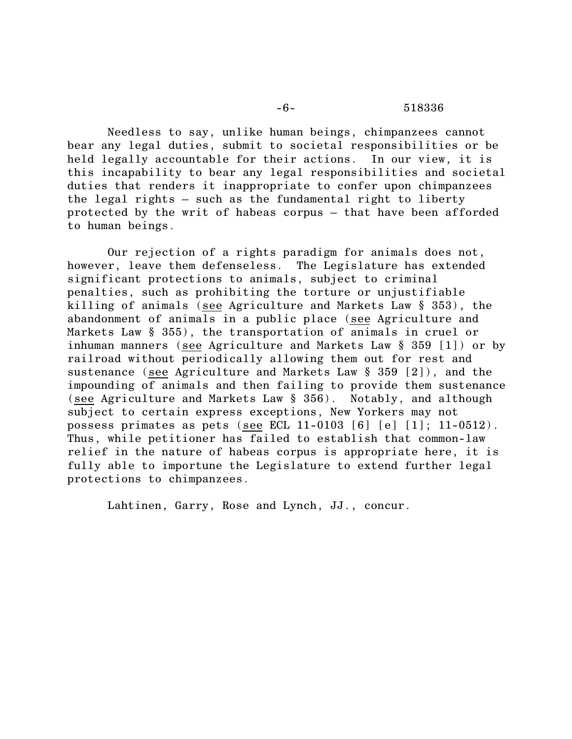Needless to say, unlike human beings, chimpanzees cannot bear any legal duties, submit to societal responsibilities or be held legally accountable for their actions. In our view, it is this incapability to bear any legal responsibilities and societal duties that renders it inappropriate to confer upon chimpanzees the legal rights – such as the fundamental right to liberty protected by the writ of habeas corpus – that have been afforded to human beings.

Our rejection of a rights paradigm for animals does not, however, leave them defenseless. The Legislature has extended significant protections to animals, subject to criminal penalties, such as prohibiting the torture or unjustifiable killing of animals (see Agriculture and Markets Law § 353), the abandonment of animals in a public place (see Agriculture and Markets Law § 355), the transportation of animals in cruel or inhuman manners (see Agriculture and Markets Law § 359 [1]) or by railroad without periodically allowing them out for rest and sustenance (see Agriculture and Markets Law § 359 [2]), and the impounding of animals and then failing to provide them sustenance (see Agriculture and Markets Law § 356). Notably, and although subject to certain express exceptions, New Yorkers may not possess primates as pets (see ECL 11-0103 [6] [e] [1]; 11-0512). Thus, while petitioner has failed to establish that common-law relief in the nature of habeas corpus is appropriate here, it is fully able to importune the Legislature to extend further legal protections to chimpanzees.

Lahtinen, Garry, Rose and Lynch, JJ., concur.